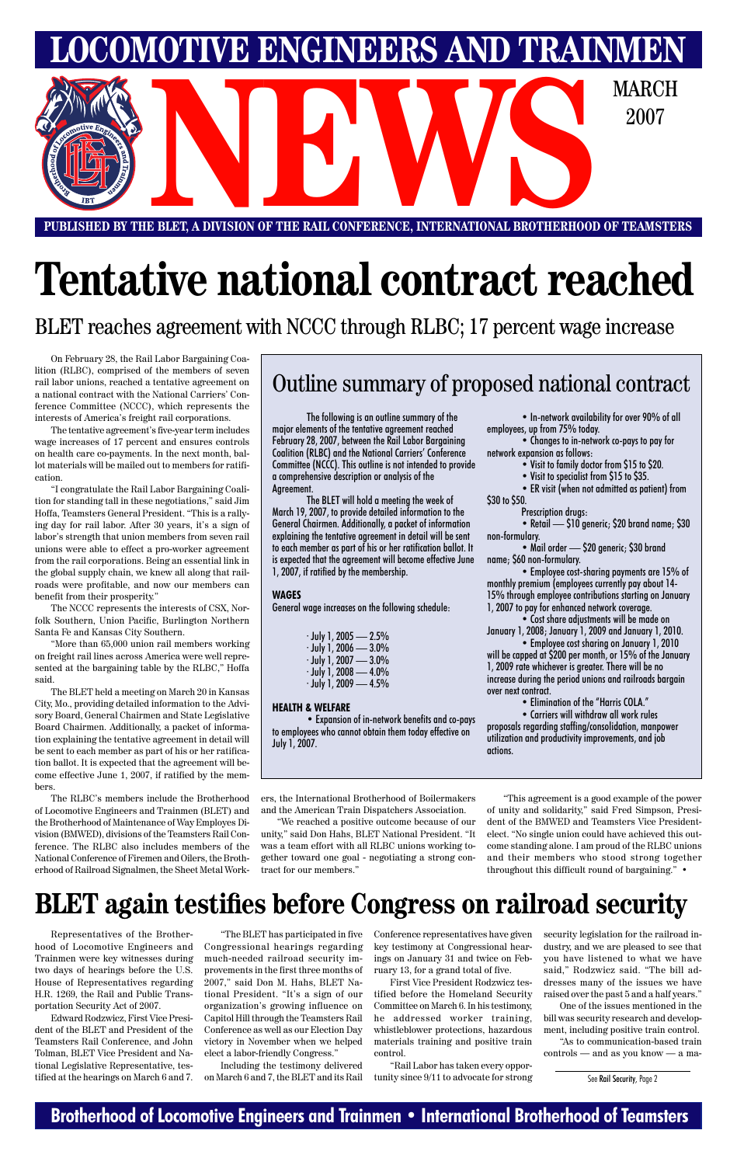## **Brotherhood of Locomotive Engineers and Trainmen • International Brotherhood of Teamsters**

**PUBLISHED BY THE BLET, A DIVISION OF THE RAIL CONFERENCE, INTERNATIONAL BROTHERHOOD OF TEAMSTERS** E BLET, A DIVISION OF THE RAIL CONFERENCE, INTERNATIONAL BROTHERHOOD OF TEAMSTE

**LOCOMOTIVE ENGINEERS AND TRAINMEN**

2007

# **Tentative national contract reached**

On February 28, the Rail Labor Bargaining Coalition (RLBC), comprised of the members of seven rail labor unions, reached a tentative agreement on a national contract with the National Carriers' Conference Committee (NCCC), which represents the interests of America's freight rail corporations.

The tentative agreement's five-year term includes wage increases of 17 percent and ensures controls on health care co-payments. In the next month, ballot materials will be mailed out to members for ratification.

"I congratulate the Rail Labor Bargaining Coalition for standing tall in these negotiations," said Jim Hoffa, Teamsters General President. "This is a rallying day for rail labor. After 30 years, it's a sign of labor's strength that union members from seven rail unions were able to effect a pro-worker agreement from the rail corporations. Being an essential link in the global supply chain, we knew all along that railroads were profitable, and now our members can benefit from their prosperity."

The NCCC represents the interests of CSX, Norfolk Southern, Union Pacific, Burlington Northern Santa Fe and Kansas City Southern.

"More than 65,000 union rail members working on freight rail lines across America were well represented at the bargaining table by the RLBC," Hoffa said.

- Visit to family doctor from \$15 to \$20.
- Visit to specialist from \$15 to \$35.

The BLET held a meeting on March 20 in Kansas City, Mo., providing detailed information to the Advisory Board, General Chairmen and State Legislative Board Chairmen. Additionally, a packet of information explaining the tentative agreement in detail will be sent to each member as part of his or her ratification ballot. It is expected that the agreement will become effective June 1, 2007, if ratified by the members.

The following is an outline summary of the major elements of the tentative agreement reached February 28, 2007, between the Rail Labor Bargaining Coalition (RLBC) and the National Carriers' Conference Committee (NCCC). This outline is not intended to provide a comprehensive description or analysis of the Agreement.

The BLET will hold a meeting the week of March 19, 2007, to provide detailed information to the General Chairmen. Additionally, a packet of information explaining the tentative agreement in detail will be sent to each member as part of his or her ratification ballot. It is expected that the agreement will become effective June 1, 2007, if ratified by the membership.

#### **WAGES**

General wage increases on the following schedule:

| $\cdot$ July 1, 2005 — 2.5% |
|-----------------------------|
| $\cdot$ July 1, 2006 — 3.0% |
| $\cdot$ July 1, 2007 — 3.0% |
| $\cdot$ July 1, 2008 — 4.0% |
| $\cdot$ July 1, 2009 — 4.5% |

#### **HEALTH & WELFARE**

• Expansion of in-network benefits and co-pays to employees who cannot obtain them today effective on July 1, 2007.

• In-network availability for over 90% of all employees, up from 75% today.

The RLBC's members include the Brotherhood of Locomotive Engineers and Trainmen (BLET) and the Brotherhood of Maintenance of Way Employes Division (BMWED), divisions of the Teamsters Rail Conference. The RLBC also includes members of the erhood of Railroad Signalmen, the Sheet Metal Work-tract for our members."

• Changes to in-network co-pays to pay for network expansion as follows:

• ER visit (when not admitted as patient) from \$30 to \$50.

Prescription drugs:

• Retail — \$10 generic; \$20 brand name; \$30 non-formulary.

National Conference of Firemen and Oilers, the Broth-gether toward one goal - negotiating a strong con-and their members who stood strong together "This agreement is a good example of the power of unity and solidarity," said Fred Simpson, President of the BMWED and Teamsters Vice Presidentelect. "No single union could have achieved this outcome standing alone. I am proud of the RLBC unions throughout this difficult round of bargaining." •

• Mail order — \$20 generic; \$30 brand name; \$60 non-formulary.

• Employee cost-sharing payments are 15% of monthly premium (employees currently pay about 14- 15% through employee contributions starting on January 1, 2007 to pay for enhanced network coverage.

• Cost share adjustments will be made on January 1, 2008; January 1, 2009 and January 1, 2010.

• Employee cost sharing on January 1, 2010 will be capped at \$200 per month, or 15% of the January 1, 2009 rate whichever is greater. There will be no increase during the period unions and railroads bargain over next contract.

• Elimination of the "Harris COLA."

• Carriers will withdraw all work rules proposals regarding staffing/consolidation, manpower utilization and productivity improvements, and job actions.

## Outline summary of proposed national contract

ers, the International Brotherhood of Boilermakers and the American Train Dispatchers Association.

"We reached a positive outcome because of our unity," said Don Hahs, BLET National President. "It was a team effort with all RLBC unions working to-

BLET reaches agreement with NCCC through RLBC; 17 percent wage increase

## **BLET again testifies before Congress on railroad security**

Representatives of the Brotherhood of Locomotive Engineers and Trainmen were key witnesses during two days of hearings before the U.S. House of Representatives regarding H.R. 1269, the Rail and Public Transportation Security Act of 2007.

Edward Rodzwicz, First Vice President of the BLET and President of the Teamsters Rail Conference, and John Tolman, BLET Vice President and National Legislative Representative, testified at the hearings on March 6 and 7.

"The BLET has participated in five Congressional hearings regarding much-needed railroad security improvements in the first three months of 2007," said Don M. Hahs, BLET National President. "It's a sign of our organization's growing influence on Capitol Hill through the Teamsters Rail Conference as well as our Election Day victory in November when we helped elect a labor-friendly Congress."

Including the testimony delivered on March 6 and 7, the BLET and its Rail Conference representatives have given key testimony at Congressional hearings on January 31 and twice on February 13, for a grand total of five.

First Vice President Rodzwicz testified before the Homeland Security Committee on March 6. In his testimony, he addressed worker training, whistleblower protections, hazardous materials training and positive train control.

"Rail Labor has taken every opportunity since 9/11 to advocate for strong security legislation for the railroad industry, and we are pleased to see that you have listened to what we have said," Rodzwicz said. "The bill addresses many of the issues we have raised over the past 5 and a half years."

One of the issues mentioned in the bill was security research and development, including positive train control. "As to communication-based train controls — and as you know — a ma-

See Rail Security, Page 2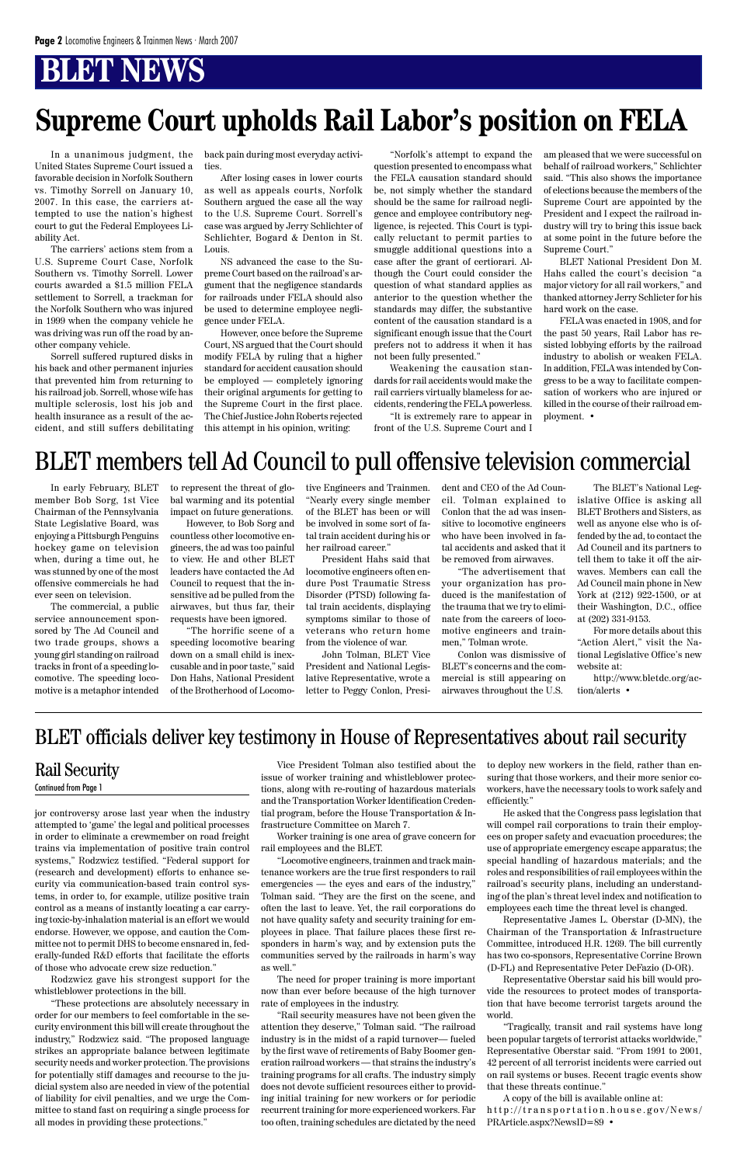## **BLET NEWS**

jor controversy arose last year when the industry attempted to 'game' the legal and political processes in order to eliminate a crewmember on road freight trains via implementation of positive train control systems," Rodzwicz testified. "Federal support for (research and development) efforts to enhance security via communication-based train control systems, in order to, for example, utilize positive train control as a means of instantly locating a car carrying toxic-by-inhalation material is an effort we would endorse. However, we oppose, and caution the Committee not to permit DHS to become ensnared in, federally-funded R&D efforts that facilitate the efforts of those who advocate crew size reduction."

Rodzwicz gave his strongest support for the whistleblower protections in the bill.

"These protections are absolutely necessary in order for our members to feel comfortable in the security environment this bill will create throughout the industry," Rodzwicz said. "The proposed language strikes an appropriate balance between legitimate security needs and worker protection. The provisions for potentially stiff damages and recourse to the judicial system also are needed in view of the potential of liability for civil penalties, and we urge the Committee to stand fast on requiring a single process for all modes in providing these protections."

Vice President Tolman also testified about the issue of worker training and whistleblower protections, along with re-routing of hazardous materials and the Transportation Worker Identification Credential program, before the House Transportation & Infrastructure Committee on March 7.

Worker training is one area of grave concern for rail employees and the BLET. "Locomotive engineers, trainmen and track maintenance workers are the true first responders to rail emergencies — the eyes and ears of the industry," Tolman said. "They are the first on the scene, and often the last to leave. Yet, the rail corporations do not have quality safety and security training for employees in place. That failure places these first responders in harm's way, and by extension puts the communities served by the railroads in harm's way as well."

The need for proper training is more important now than ever before because of the high turnover rate of employees in the industry.

"Rail security measures have not been given the attention they deserve," Tolman said. "The railroad industry is in the midst of a rapid turnover— fueled by the first wave of retirements of Baby Boomer generation railroad workers — that strains the industry's training programs for all crafts. The industry simply does not devote sufficient resources either to providing initial training for new workers or for periodic recurrent training for more experienced workers. Far too often, training schedules are dictated by the need to deploy new workers in the field, rather than ensuring that those workers, and their more senior coworkers, have the necessary tools to work safely and efficiently."

He asked that the Congress pass legislation that will compel rail corporations to train their employees on proper safety and evacuation procedures; the use of appropriate emergency escape apparatus; the special handling of hazardous materials; and the roles and responsibilities of rail employees within the railroad's security plans, including an understanding of the plan's threat level index and notification to employees each time the threat level is changed. Representative James L. Oberstar (D-MN), the Chairman of the Transportation & Infrastructure Committee, introduced H.R. 1269. The bill currently has two co-sponsors, Representative Corrine Brown (D-FL) and Representative Peter DeFazio (D-OR). Representative Oberstar said his bill would provide the resources to protect modes of transportation that have become terrorist targets around the world.

"Tragically, transit and rail systems have long been popular targets of terrorist attacks worldwide," Representative Oberstar said. "From 1991 to 2001, 42 percent of all terrorist incidents were carried out on rail systems or buses. Recent tragic events show that these threats continue."

A copy of the bill is available online at: http://transportation.house.gov/News/ PRArticle.aspx?NewsID=89 •

## Rail Security

Continued from Page 1

In a unanimous judgment, the United States Supreme Court issued a favorable decision in Norfolk Southern vs. Timothy Sorrell on January 10, 2007. In this case, the carriers attempted to use the nation's highest court to gut the Federal Employees Liability Act.

The carriers' actions stem from a U.S. Supreme Court Case, Norfolk Southern vs. Timothy Sorrell. Lower courts awarded a \$1.5 million FELA settlement to Sorrell, a trackman for the Norfolk Southern who was injured in 1999 when the company vehicle he was driving was run off the road by another company vehicle.

Sorrell suffered ruptured disks in his back and other permanent injuries that prevented him from returning to his railroad job. Sorrell, whose wife has multiple sclerosis, lost his job and health insurance as a result of the accident, and still suffers debilitating back pain during most everyday activities.

After losing cases in lower courts as well as appeals courts, Norfolk Southern argued the case all the way to the U.S. Supreme Court. Sorrell's case was argued by Jerry Schlichter of Schlichter, Bogard & Denton in St. Louis.

NS advanced the case to the Supreme Court based on the railroad's argument that the negligence standards for railroads under FELA should also be used to determine employee negligence under FELA.

However, once before the Supreme Court, NS argued that the Court should modify FELA by ruling that a higher standard for accident causation should be employed — completely ignoring their original arguments for getting to the Supreme Court in the first place. The Chief Justice John Roberts rejected this attempt in his opinion, writing:

"Norfolk's attempt to expand the question presented to encompass what the FELA causation standard should be, not simply whether the standard should be the same for railroad negligence and employee contributory negligence, is rejected. This Court is typically reluctant to permit parties to smuggle additional questions into a case after the grant of certiorari. Although the Court could consider the question of what standard applies as anterior to the question whether the standards may differ, the substantive content of the causation standard is a significant enough issue that the Court prefers not to address it when it has not been fully presented."

Weakening the causation standards for rail accidents would make the rail carriers virtually blameless for accidents, rendering the FELA powerless.

"It is extremely rare to appear in front of the U.S. Supreme Court and I am pleased that we were successful on behalf of railroad workers," Schlichter said. "This also shows the importance of elections because the members of the Supreme Court are appointed by the President and I expect the railroad industry will try to bring this issue back at some point in the future before the Supreme Court."

BLET National President Don M. Hahs called the court's decision "a major victory for all rail workers," and thanked attorney Jerry Schlicter for his hard work on the case.

FELA was enacted in 1908, and for the past 50 years, Rail Labor has resisted lobbying efforts by the railroad industry to abolish or weaken FELA. In addition, FELA was intended by Congress to be a way to facilitate compensation of workers who are injured or killed in the course of their railroad employment. •

# **Supreme Court upholds Rail Labor's position on FELA**

In early February, BLET member Bob Sorg, 1st Vice Chairman of the Pennsylvania State Legislative Board, was enjoying a Pittsburgh Penguins hockey game on television when, during a time out, he was stunned by one of the most offensive commercials he had ever seen on television.

The commercial, a public service announcement sponsored by The Ad Council and two trade groups, shows a young girl standing on railroad tracks in front of a speeding locomotive. The speeding locomotive is a metaphor intended to represent the threat of global warming and its potential impact on future generations.

However, to Bob Sorg and countless other locomotive engineers, the ad was too painful to view. He and other BLET leaders have contacted the Ad Council to request that the insensitive ad be pulled from the airwaves, but thus far, their requests have been ignored.

"The horrific scene of a speeding locomotive bearing down on a small child is inexcusable and in poor taste," said Don Hahs, National President of the Brotherhood of Locomo-

tive Engineers and Trainmen. "Nearly every single member of the BLET has been or will be involved in some sort of fatal train accident during his or her railroad career."

President Hahs said that locomotive engineers often endure Post Traumatic Stress Disorder (PTSD) following fatal train accidents, displaying symptoms similar to those of veterans who return home from the violence of war.

John Tolman, BLET Vice President and National Legislative Representative, wrote a letter to Peggy Conlon, Presi-

dent and CEO of the Ad Council. Tolman explained to Conlon that the ad was insensitive to locomotive engineers who have been involved in fatal accidents and asked that it be removed from airwaves.

"The advertisement that your organization has produced is the manifestation of the trauma that we try to eliminate from the careers of locomotive engineers and trainmen," Tolman wrote.

Conlon was dismissive of BLET's concerns and the commercial is still appearing on airwaves throughout the U.S.

The BLET's National Legislative Office is asking all BLET Brothers and Sisters, as well as anyone else who is offended by the ad, to contact the Ad Council and its partners to tell them to take it off the airwaves. Members can call the Ad Council main phone in New York at (212) 922-1500, or at their Washington, D.C., office at (202) 331-9153.

For more details about this "Action Alert," visit the National Legislative Office's new website at:

http://www.bletdc.org/action/alerts •

## BLET members tell Ad Council to pull offensive television commercial

## BLET officials deliver key testimony in House of Representatives about rail security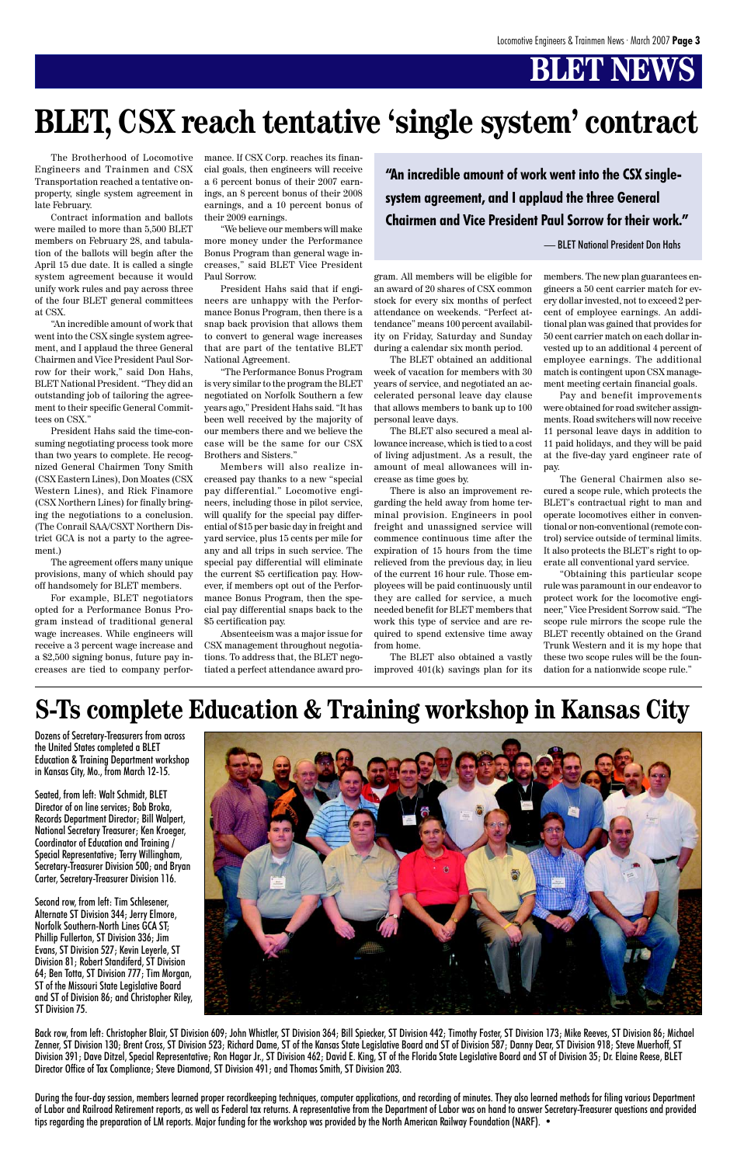# **BLET NEWS**

The Brotherhood of Locomotive Engineers and Trainmen and CSX Transportation reached a tentative onproperty, single system agreement in late February.

"An incredible amount of work that went into the CSX single system agreement, and I applaud the three General Chairmen and Vice President Paul Sorrow for their work," said Don Hahs, BLET National President. "They did an outstanding job of tailoring the agreement to their specific General Committees on CSX.'

Contract information and ballots were mailed to more than 5,500 BLET members on February 28, and tabulation of the ballots will begin after the April 15 due date. It is called a single system agreement because it would unify work rules and pay across three of the four BLET general committees at CSX.

President Hahs said the time-consuming negotiating process took more than two years to complete. He recognized General Chairmen Tony Smith (CSX Eastern Lines), Don Moates (CSX Western Lines), and Rick Finamore (CSX Northern Lines) for finally bringing the negotiations to a conclusion. (The Conrail SAA/CSXT Northern District GCA is not a party to the agreement.)

The agreement offers many unique provisions, many of which should pay off handsomely for BLET members.

For example, BLET negotiators opted for a Performance Bonus Program instead of traditional general wage increases. While engineers will receive a 3 percent wage increase and a \$2,500 signing bonus, future pay increases are tied to company performance. If CSX Corp. reaches its financial goals, then engineers will receive a 6 percent bonus of their 2007 earnings, an 8 percent bonus of their 2008 earnings, and a 10 percent bonus of their 2009 earnings.

"We believe our members will make more money under the Performance Bonus Program than general wage increases," said BLET Vice President Paul Sorrow.

President Hahs said that if engineers are unhappy with the Performance Bonus Program, then there is a snap back provision that allows them to convert to general wage increases that are part of the tentative BLET National Agreement.

"The Performance Bonus Program is very similar to the program the BLET negotiated on Norfolk Southern a few years ago," President Hahs said. "It has been well received by the majority of our members there and we believe the case will be the same for our CSX Brothers and Sisters."

Members will also realize increased pay thanks to a new "special pay differential." Locomotive engineers, including those in pilot service, will qualify for the special pay differential of \$15 per basic day in freight and yard service, plus 15 cents per mile for any and all trips in such service. The special pay differential will eliminate the current \$5 certification pay. However, if members opt out of the Performance Bonus Program, then the special pay differential snaps back to the \$5 certification pay.

Absenteeism was a major issue for CSX management throughout negotiations. To address that, the BLET negotiated a perfect attendance award program. All members will be eligible for an award of 20 shares of CSX common stock for every six months of perfect attendance on weekends. "Perfect attendance" means 100 percent availability on Friday, Saturday and Sunday during a calendar six month period.

The BLET obtained an additional week of vacation for members with 30 years of service, and negotiated an accelerated personal leave day clause that allows members to bank up to 100 personal leave days.

The BLET also secured a meal allowance increase, which is tied to a cost of living adjustment. As a result, the amount of meal allowances will increase as time goes by.

There is also an improvement regarding the held away from home terminal provision. Engineers in pool freight and unassigned service will commence continuous time after the expiration of 15 hours from the time relieved from the previous day, in lieu of the current 16 hour rule. Those employees will be paid continuously until they are called for service, a much needed benefit for BLET members that work this type of service and are required to spend extensive time away from home.

The BLET also obtained a vastly improved 401(k) savings plan for its members. The new plan guarantees engineers a 50 cent carrier match for every dollar invested, not to exceed 2 percent of employee earnings. An additional plan was gained that provides for 50 cent carrier match on each dollar invested up to an additional 4 percent of employee earnings. The additional match is contingent upon CSX management meeting certain financial goals.

Pay and benefit improvements were obtained for road switcher assignments. Road switchers will now receive 11 personal leave days in addition to 11 paid holidays, and they will be paid at the five-day yard engineer rate of pay.

The General Chairmen also secured a scope rule, which protects the BLET's contractual right to man and operate locomotives either in conventional or non-conventional (remote control) service outside of terminal limits. It also protects the BLET's right to operate all conventional yard service.

"Obtaining this particular scope rule was paramount in our endeavor to protect work for the locomotive engineer," Vice President Sorrow said. "The scope rule mirrors the scope rule the BLET recently obtained on the Grand Trunk Western and it is my hope that these two scope rules will be the foundation for a nationwide scope rule."

# **BLET, CSX reach tentative 'single system' contract**

**"An incredible amount of work went into the CSX singlesystem agreement, and I applaud the three General Chairmen and Vice President Paul Sorrow for their work."**

— BLET National President Don Hahs

## **S-Ts complete Education & Training workshop in Kansas City**

Dozens of Secretary-Treasurers from across the United States completed a BLET Education & Training Department workshop in Kansas City, Mo., from March 12-15.

Seated, from left: Walt Schmidt, BLET Director of on line services; Bob Broka, Records Department Director; Bill Walpert, National Secretary Treasurer; Ken Kroeger, Coordinator of Education and Training / Special Representative; Terry Willingham, Secretary-Treasurer Division 500; and Bryan Carter, Secretary-Treasurer Division 116.



Second row, from left: Tim Schlesener, Alternate ST Division 344; Jerry Elmore, Norfolk Southern-North Lines GCA ST; Phillip Fullerton, ST Division 336; Jim Evans, ST Division 527; Kevin Leyerle, ST Division 81; Robert Standiferd, ST Division 64; Ben Totta, ST Division 777; Tim Morgan, ST of the Missouri State Legislative Board and ST of Division 86; and Christopher Riley, ST Division 75.

Back row, from left: Christopher Blair, ST Division 609; John Whistler, ST Division 364; Bill Spiecker, ST Division 442; Timothy Foster, ST Division 173; Mike Reeves, ST Division 86; Michael Zenner, ST Division 130; Brent Cross, ST Division 523; Richard Dame, ST of the Kansas State Legislative Board and ST of Division 587; Danny Dear, ST Division 918; Steve Muerhoff, ST Division 391; Dave Ditzel, Special Representative; Ron Hagar Jr., ST Division 462; David E. King, ST of the Florida State Legislative Board and ST of Division 35; Dr. Elaine Reese, BLET Director Office of Tax Compliance; Steve Diamond, ST Division 491; and Thomas Smith, ST Division 203.

During the four-day session, members learned proper recordkeeping techniques, computer applications, and recording of minutes. They also learned methods for filing various Department of Labor and Railroad Retirement reports, as well as Federal tax returns. A representative from the Department of Labor was on hand to answer Secretary-Treasurer questions and provided tips regarding the preparation of LM reports. Major funding for the workshop was provided by the North American Railway Foundation (NARF). •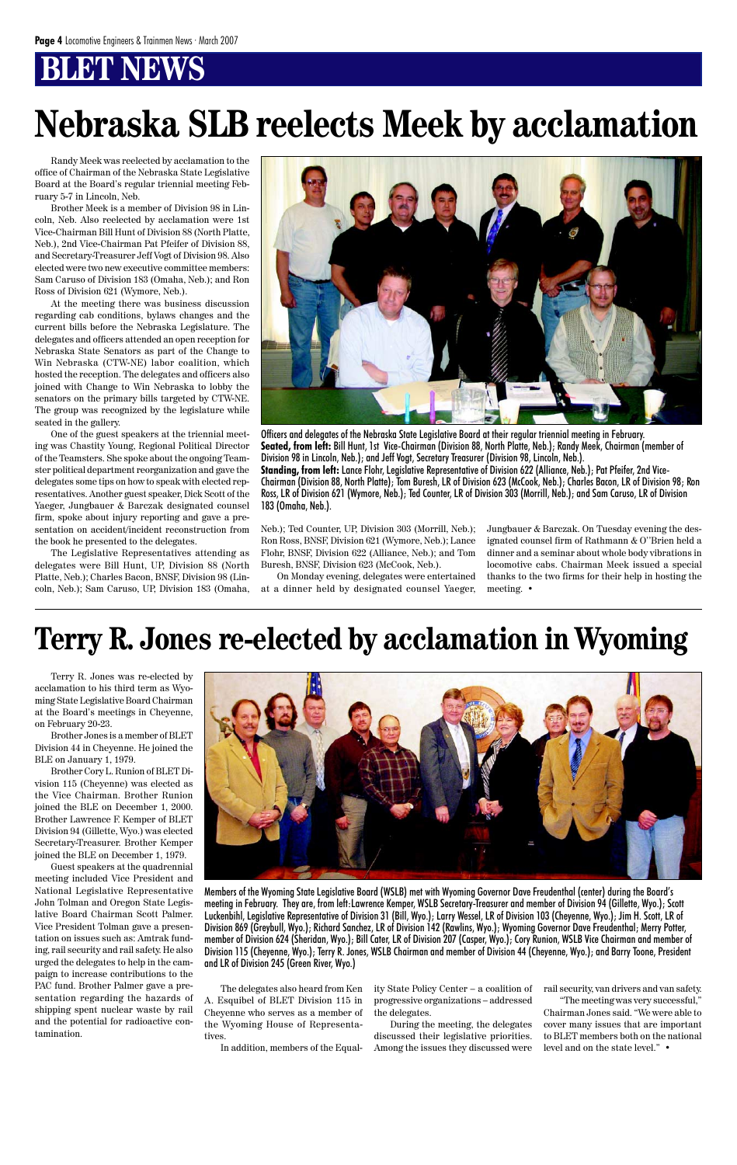## **BT NEWS**

Randy Meek was reelected by acclamation to the office of Chairman of the Nebraska State Legislative Board at the Board's regular triennial meeting February 5-7 in Lincoln, Neb.

Brother Meek is a member of Division 98 in Lincoln, Neb. Also reelected by acclamation were 1st Vice-Chairman Bill Hunt of Division 88 (North Platte, Neb.), 2nd Vice-Chairman Pat Pfeifer of Division 88, and Secretary-Treasurer Jeff Vogt of Division 98. Also elected were two new executive committee members: Sam Caruso of Division 183 (Omaha, Neb.); and Ron Ross of Division 621 (Wymore, Neb.).

At the meeting there was business discussion regarding cab conditions, bylaws changes and the current bills before the Nebraska Legislature. The delegates and officers attended an open reception for Nebraska State Senators as part of the Change to Win Nebraska (CTW-NE) labor coalition, which hosted the reception. The delegates and officers also joined with Change to Win Nebraska to lobby the senators on the primary bills targeted by CTW-NE. The group was recognized by the legislature while seated in the gallery.

One of the guest speakers at the triennial meeting was Chastity Young, Regional Political Director of the Teamsters. She spoke about the ongoing Teamster political department reorganization and gave the delegates some tips on how to speak with elected representatives. Another guest speaker, Dick Scott of the Yaeger, Jungbauer & Barczak designated counsel firm, spoke about injury reporting and gave a presentation on accident/incident reconstruction from the book he presented to the delegates.

The Legislative Representatives attending as delegates were Bill Hunt, UP, Division 88 (North Platte, Neb.); Charles Bacon, BNSF, Division 98 (Lincoln, Neb.); Sam Caruso, UP, Division 183 (Omaha,



Neb.); Ted Counter, UP, Division 303 (Morrill, Neb.); Ron Ross, BNSF, Division 621 (Wymore, Neb.); Lance Flohr, BNSF, Division 622 (Alliance, Neb.); and Tom Buresh, BNSF, Division 623 (McCook, Neb.).

On Monday evening, delegates were entertained at a dinner held by designated counsel Yaeger, Jungbauer & Barczak. On Tuesday evening the designated counsel firm of Rathmann & O''Brien held a dinner and a seminar about whole body vibrations in locomotive cabs. Chairman Meek issued a special thanks to the two firms for their help in hosting the meeting. •

Officers and delegates of the Nebraska State Legislative Board at their regular triennial meeting in February. **Seated, from left:** Bill Hunt, 1st Vice-Chairman (Division 88, North Platte, Neb.); Randy Meek, Chairman (member of Division 98 in Lincoln, Neb.); and Jeff Vogt, Secretary Treasurer (Division 98, Lincoln, Neb.). **Standing, from left:** Lance Flohr, Legislative Representative of Division 622 (Alliance, Neb.); Pat Pfeifer, 2nd Vice-Chairman (Division 88, North Platte); Tom Buresh, LR of Division 623 (McCook, Neb.); Charles Bacon, LR of Division 98; Ron Ross, LR of Division 621 (Wymore, Neb.); Ted Counter, LR of Division 303 (Morrill, Neb.); and Sam Caruso, LR of Division 183 (Omaha, Neb.).

# **Nebraska SLB reelects Meek by acclamation**

Terry R. Jones was re-elected by acclamation to his third term as Wyoming State Legislative Board Chairman at the Board's meetings in Cheyenne, on February 20-23.

Brother Jones is a member of BLET Division 44 in Cheyenne. He joined the BLE on January 1, 1979.

Brother Cory L. Runion of BLET Division 115 (Cheyenne) was elected as the Vice Chairman. Brother Runion joined the BLE on December 1, 2000. Brother Lawrence F. Kemper of BLET Division 94 (Gillette, Wyo.) was elected Secretary-Treasurer. Brother Kemper joined the BLE on December 1, 1979.



Guest speakers at the quadrennial meeting included Vice President and National Legislative Representative John Tolman and Oregon State Legislative Board Chairman Scott Palmer. Vice President Tolman gave a presentation on issues such as: Amtrak funding, rail security and rail safety. He also urged the delegates to help in the campaign to increase contributions to the PAC fund. Brother Palmer gave a presentation regarding the hazards of shipping spent nuclear waste by rail and the potential for radioactive contamination.

The delegates also heard from Ken A. Esquibel of BLET Division 115 in Cheyenne who serves as a member of the Wyoming House of Representatives.

In addition, members of the Equal-

# **Terry R. Jones re-elected by acclamation in Wyoming**

Members of the Wyoming State Legislative Board (WSLB) met with Wyoming Governor Dave Freudenthal (center) during the Board's meeting in February. They are, from left:Lawrence Kemper, WSLB Secretary-Treasurer and member of Division 94 (Gillette, Wyo.); Scott Luckenbihl, Legislative Representative of Division 31 (Bill, Wyo.); Larry Wessel, LR of Division 103 (Cheyenne, Wyo.); Jim H. Scott, LR of Division 869 (Greybull, Wyo.); Richard Sanchez, LR of Division 142 (Rawlins, Wyo.); Wyoming Governor Dave Freudenthal; Merry Potter, member of Division 624 (Sheridan, Wyo.); Bill Cater, LR of Division 207 (Casper, Wyo.); Cory Runion, WSLB Vice Chairman and member of Division 115 (Cheyenne, Wyo.); Terry R. Jones, WSLB Chairman and member of Division 44 (Cheyenne, Wyo.); and Barry Toone, President and LR of Division 245 (Green River, Wyo.)

> ity State Policy Center – a coalition of progressive organizations – addressed the delegates.

During the meeting, the delegates discussed their legislative priorities. Among the issues they discussed were rail security, van drivers and van safety. "The meeting was very successful," Chairman Jones said. "We were able to cover many issues that are important to BLET members both on the national level and on the state level." •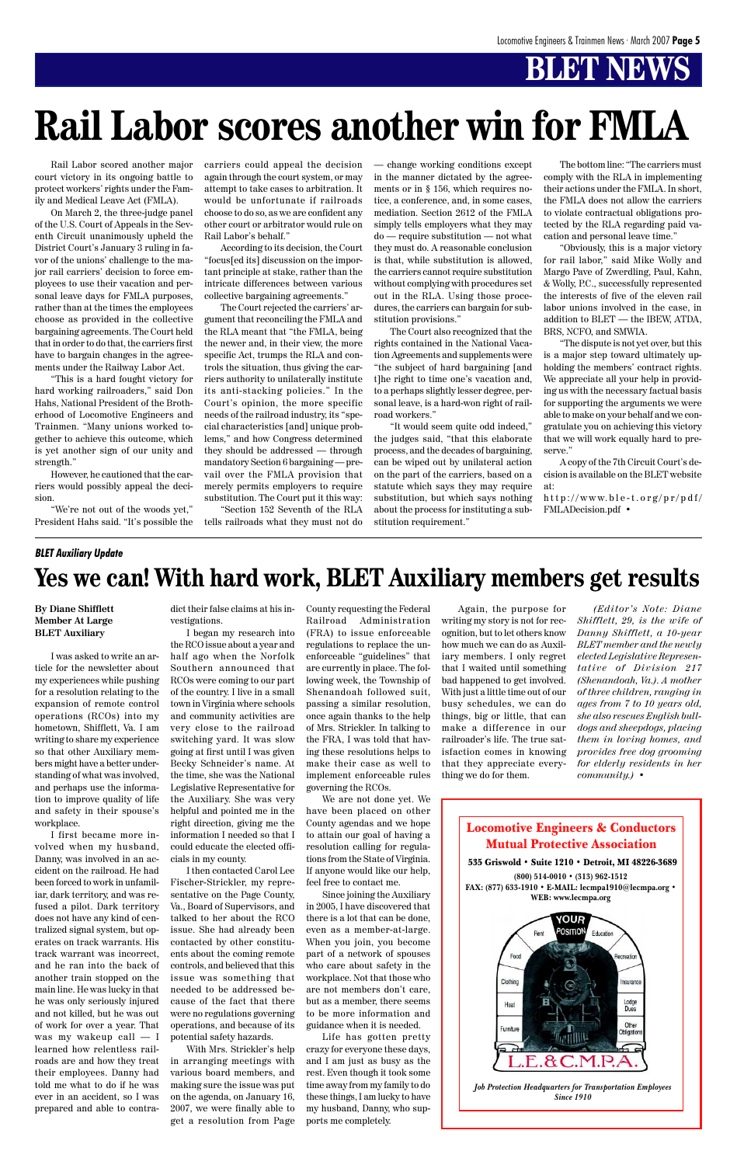# **BLET NEWS**

Locomotive Engineers & Conductors Mutual Protective Association



**(800) 514-0010 • (313) 962-1512 FAX: (877) 633-1910 • E-MAIL: lecmpa1910@lecmpa.org • WEB: www.lecmpa.org**



*Job Protection Headquarters for Transportation Employees Since 1910*

Rail Labor scored another major court victory in its ongoing battle to protect workers' rights under the Family and Medical Leave Act (FMLA).

On March 2, the three-judge panel of the U.S. Court of Appeals in the Seventh Circuit unanimously upheld the District Court's January 3 ruling in favor of the unions' challenge to the major rail carriers' decision to force employees to use their vacation and personal leave days for FMLA purposes, rather than at the times the employees choose as provided in the collective bargaining agreements. The Court held that in order to do that, the carriers first have to bargain changes in the agreements under the Railway Labor Act.

"This is a hard fought victory for hard working railroaders," said Don Hahs, National President of the Brotherhood of Locomotive Engineers and Trainmen. "Many unions worked together to achieve this outcome, which is yet another sign of our unity and strength."

However, he cautioned that the carriers would possibly appeal the decision.

"We're not out of the woods yet," President Hahs said. "It's possible the carriers could appeal the decision again through the court system, or may attempt to take cases to arbitration. It would be unfortunate if railroads choose to do so, as we are confident any other court or arbitrator would rule on Rail Labor's behalf."

According to its decision, the Court "focus[ed its] discussion on the important principle at stake, rather than the intricate differences between various collective bargaining agreements."

The Court rejected the carriers' argument that reconciling the FMLA and the RLA meant that "the FMLA, being the newer and, in their view, the more specific Act, trumps the RLA and controls the situation, thus giving the carriers authority to unilaterally institute its anti-stacking policies." In the Court's opinion, the more specific needs of the railroad industry, its "special characteristics [and] unique problems," and how Congress determined they should be addressed — through mandatory Section 6 bargaining — prevail over the FMLA provision that merely permits employers to require substitution. The Court put it this way:

"Section 152 Seventh of the RLA tells railroads what they must not do — change working conditions except in the manner dictated by the agreements or in § 156, which requires notice, a conference, and, in some cases, mediation. Section 2612 of the FMLA simply tells employers what they may do — require substitution — not what they must do. A reasonable conclusion is that, while substitution is allowed, the carriers cannot require substitution without complying with procedures set out in the RLA. Using those procedures, the carriers can bargain for substitution provisions."

The Court also recognized that the rights contained in the National Vacation Agreements and supplements were "the subject of hard bargaining [and t]he right to time one's vacation and, to a perhaps slightly lesser degree, personal leave, is a hard-won right of railroad workers."

"It would seem quite odd indeed," the judges said, "that this elaborate process, and the decades of bargaining, can be wiped out by unilateral action on the part of the carriers, based on a statute which says they may require substitution, but which says nothing about the process for instituting a substitution requirement."

The bottom line: "The carriers must comply with the RLA in implementing their actions under the FMLA. In short, the FMLA does not allow the carriers to violate contractual obligations protected by the RLA regarding paid vacation and personal leave time."

"Obviously, this is a major victory for rail labor," said Mike Wolly and Margo Pave of Zwerdling, Paul, Kahn, & Wolly, P.C., successfully represented the interests of five of the eleven rail labor unions involved in the case, in addition to BLET — the IBEW, ATDA, BRS, NCFO, and SMWIA.

"The dispute is not yet over, but this is a major step toward ultimately upholding the members' contract rights. We appreciate all your help in providing us with the necessary factual basis for supporting the arguments we were able to make on your behalf and we congratulate you on achieving this victory that we will work equally hard to preserve."

A copy of the 7th Circuit Court's decision is available on the BLET website at:

http://www.ble-t.org/pr/pdf/ FMLADecision.pdf •

# **Rail Labor scores another win for FMLA**

**By Diane Shifflett Member At Large BLET Auxiliary**

I was asked to write an article for the newsletter about my experiences while pushing for a resolution relating to the expansion of remote control operations (RCOs) into my hometown, Shifflett, Va. I am writing to share my experience so that other Auxiliary members might have a better understanding of what was involved, and perhaps use the information to improve quality of life and safety in their spouse's workplace.

I first became more involved when my husband, Danny, was involved in an accident on the railroad. He had been forced to work in unfamiliar, dark territory, and was refused a pilot. Dark territory does not have any kind of centralized signal system, but operates on track warrants. His track warrant was incorrect, and he ran into the back of another train stopped on the main line. He was lucky in that he was only seriously injured and not killed, but he was out of work for over a year. That was my wakeup call — I learned how relentless railroads are and how they treat their employees. Danny had told me what to do if he was ever in an accident, so I was prepared and able to contra-

dict their false claims at his investigations.

I began my research into the RCO issue about a year and half ago when the Norfolk Southern announced that RCOs were coming to our part of the country. I live in a small town in Virginia where schools and community activities are very close to the railroad switching yard. It was slow going at first until I was given Becky Schneider's name. At the time, she was the National Legislative Representative for the Auxiliary. She was very helpful and pointed me in the right direction, giving me the information I needed so that I could educate the elected offi-

cials in my county.

I then contacted Carol Lee Fischer-Strickler, my representative on the Page County, Va., Board of Supervisors, and talked to her about the RCO issue. She had already been contacted by other constituents about the coming remote controls, and believed that this issue was something that needed to be addressed because of the fact that there were no regulations governing operations, and because of its potential safety hazards.

With Mrs. Strickler's help in arranging meetings with various board members, and making sure the issue was put on the agenda, on January 16, 2007, we were finally able to get a resolution from Page

County requesting the Federal Railroad Administration (FRA) to issue enforceable regulations to replace the unenforceable "guidelines" that are currently in place. The following week, the Township of Shenandoah followed suit, passing a similar resolution, once again thanks to the help of Mrs. Strickler. In talking to the FRA, I was told that having these resolutions helps to make their case as well to implement enforceable rules governing the RCOs.

We are not done yet. We have been placed on other County agendas and we hope to attain our goal of having a resolution calling for regulations from the State of Virginia. If anyone would like our help, feel free to contact me. Since joining the Auxiliary in 2005, I have discovered that there is a lot that can be done, even as a member-at-large. When you join, you become part of a network of spouses who care about safety in the workplace. Not that those who are not members don't care, but as a member, there seems to be more information and guidance when it is needed. Life has gotten pretty crazy for everyone these days, and I am just as busy as the rest. Even though it took some time away from my family to do these things, I am lucky to have my husband, Danny, who supports me completely.

Again, the purpose for writing my story is not for recognition, but to let others know how much we can do as Auxiliary members. I only regret that I waited until something bad happened to get involved. With just a little time out of our busy schedules, we can do things, big or little, that can make a difference in our railroader's life. The true satisfaction comes in knowing that they appreciate everything we do for them.

*(Editor's Note: Diane Shifflett, 29, is the wife of Danny Shifflett, a 10-year BLET member and the newly elected Legislative Representative of Division 217 (Shenandoah, Va.). A mother of three children, ranging in ages from 7 to 10 years old, she also rescues English bulldogs and sheepdogs, placing them in loving homes, and provides free dog grooming for elderly residents in her community.)* •

#### *BLET Auxiliary Update*

## **Yes we can! With hard work, BLET Auxiliary members get results**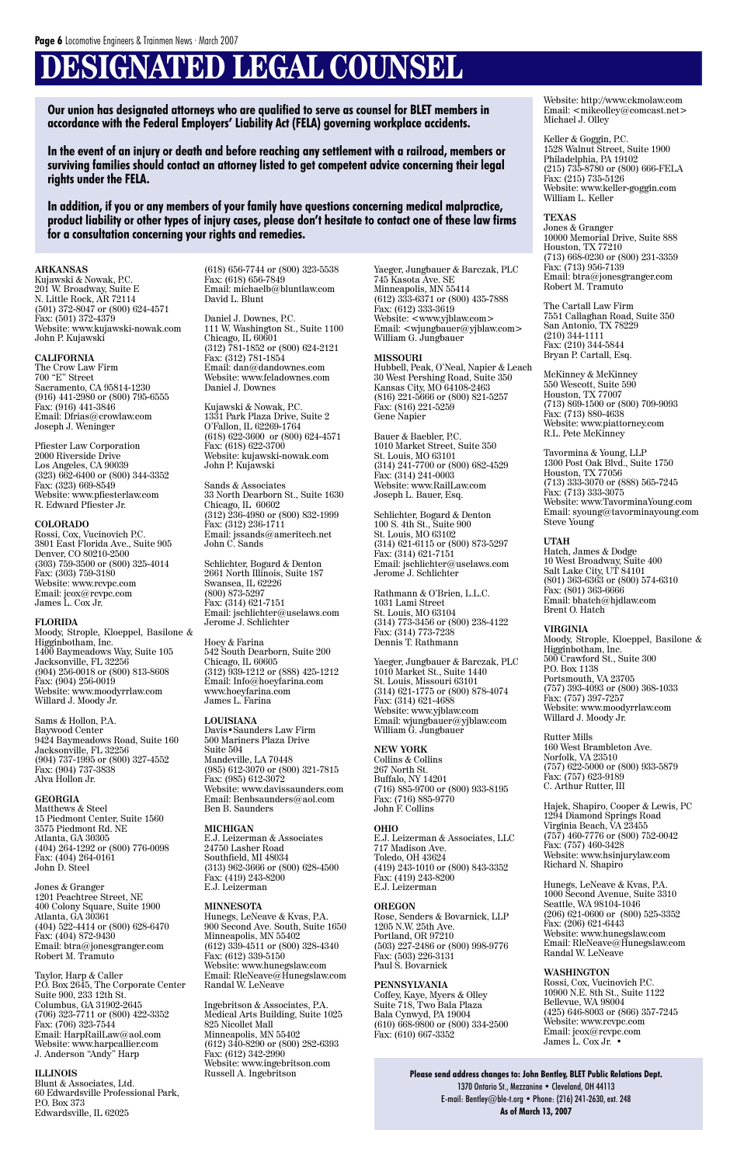# **DESIGNATED LEGAL COUNSEL**

#### **ARKANSAS**

Kujawski & Nowak, P.C. 201 W. Broadway, Suite E N. Little Rock, AR 72114 (501) 372-8047 or (800) 624-4571 Fax: (501) 372-4379 Website: www.kujawski-nowak.com John P. Kujawski

#### **CALIFORNIA**

The Crow Law Firm 700 "E" Street Sacramento, CA 95814-1230 (916) 441-2980 or (800) 795-6555 Fax: (916) 441-3846 Email: Dfrias@crowlaw.com Joseph J. Weninger

Pfiester Law Corporation 2000 Riverside Drive Los Angeles, CA 90039 (323) 662-6400 or (800) 344-3352 Fax: (323) 669-8549 Website: www.pfiesterlaw.com R. Edward Pfiester Jr.

#### **COLORADO**

Rossi, Cox, Vucinovich P.C. 3801 East Florida Ave., Suite 905 Denver, CO 80210-2500 (303) 759-3500 or (800) 325-4014 Fax: (303) 759-3180 Website: www.rcvpc.com Email: jcox@rcvpc.com James L. Cox Jr.

#### **FLORIDA**

Moody, Strople, Kloeppel, Basilone & Higginbotham, Inc. 1400 Baymeadows Way, Suite 105 Jacksonville, FL 32256 (904) 256-0018 or (800) 813-8608 Fax: (904) 256-0019 Website: www.moodyrrlaw.com Willard J. Moody Jr.

Sams & Hollon, P.A. Baywood Center 9424 Baymeadows Road, Suite 160 Jacksonville, FL 32256 (904) 737-1995 or (800) 327-4552 Fax: (904) 737-3838 Alva Hollon Jr.

#### **GEORGIA**

Matthews & Steel 15 Piedmont Center, Suite 1560 3575 Piedmont Rd. NE Atlanta, GA 30305 (404) 264-1292 or (800) 776-0098 Fax: (404) 264-0161 John D. Steel

Jones & Granger 1201 Peachtree Street, NE 400 Colony Square, Suite 1900 Atlanta, GA 30361 (404) 522-4414 or (800) 628-6470 Fax: (404) 872-9430 Email: btra@jonesgranger.com Robert M. Tramuto

Taylor, Harp & Caller P.O. Box 2645, The Corporate Center Suite 900, 233 12th St. Columbus, GA 31902-2645 (706) 323-7711 or (800) 422-3352 Fax: (706) 323-7544 Email: HarpRailLaw@aol.com Website: www.harpcallier.com J. Anderson "Andy" Harp

#### **ILLINOIS**

Blunt & Associates, Ltd. 60 Edwardsville Professional Park, P.O. Box 373 Edwardsville, IL 62025

(618) 656-7744 or (800) 323-5538 Fax: (618) 656-7849 Email: michaelb@bluntlaw.com David L. Blunt

Daniel J. Downes, P.C. 111 W. Washington St., Suite 1100 Chicago, IL 60601 (312) 781-1852 or (800) 624-2121 Fax: (312) 781-1854 Email: dan@dandownes.com Website: www.feladownes.com Daniel J. Downes

Kujawski & Nowak, P.C. 1331 Park Plaza Drive, Suite 2 O'Fallon, IL 62269-1764 (618) 622-3600 or (800) 624-4571 Fax: (618) 622-3700 Website: kujawski-nowak.com John P. Kujawski

Sands & Associates 33 North Dearborn St., Suite 1630 Chicago, IL 60602 (312) 236-4980 or (800) 832-1999 Fax: (312) 236-1711 Email: jssands@ameritech.net John C. Sands

Schlichter, Bogard & Denton 2661 North Illinois, Suite 187 Swansea, IL 62226 (800) 873-5297 Fax: (314) 621-7151 Email: jschlichter@uselaws.com Jerome J. Schlichter

Hoey & Farina 542 South Dearborn, Suite 200 Chicago, IL 60605 (312) 939-1212 or (888) 425-1212 Email: Info@hoeyfarina.com www.hoeyfarina.com James L. Farina

**LOUISIANA** Davis•Saunders Law Firm 500 Mariners Plaza Drive Suite 504 Mandeville, LA 70448 (985) 612-3070 or (800) 321-7815 Fax: (985) 612-3072 Website: www.davissaunders.com Email: Benbsaunders@aol.com Ben B. Saunders

#### **MICHIGAN**

E.J. Leizerman & Associates 24750 Lasher Road Southfield, MI 48034 (313) 962-3666 or (800) 628-4500 Fax: (419) 243-8200 E.J. Leizerman

#### **MINNESOTA**

Rutter Mills 160 West Brambleton Ave. Norfolk, VA 23510 (757) 622-5000 or (800) 933-5879 Fax: (757) 623-9189 C. Arthur Rutter, III

Hunegs, LeNeave & Kvas, P.A. 900 Second Ave. South, Suite 1650 Minneapolis, MN 55402 (612) 339-4511 or (800) 328-4340 Fax: (612) 339-5150 Website: www.hunegslaw.com Email: RleNeave@Hunegslaw.com Randal W. LeNeave

Ingebritson & Associates, P.A. Medical Arts Building, Suite 1025 825 Nicollet Mall Minneapolis, MN 55402 (612) 340-8290 or (800) 282-6393 Fax: (612) 342-2990 Website: www.ingebritson.com Russell A. Ingebritson

Rossi, Cox, Vucinovich P.C. 10900 N.E. 8th St., Suite 1122 Bellevue, WA 98004 (425) 646-8003 or (866) 357-7245 Website: www.rcvpc.com Email: jcox@rcvpc.com James L. Cox Jr. •

Yaeger, Jungbauer & Barczak, PLC 745 Kasota Ave. SE Minneapolis, MN 55414 (612) 333-6371 or (800) 435-7888 Fax: (612) 333-3619 Website: <www.yjblaw.com> Email: <wjungbauer@yjblaw.com> William G. Jungbauer

#### **MISSOURI**

Hubbell, Peak, O'Neal, Napier & Leach 30 West Pershing Road, Suite 350 Kansas City, MO 64108-2463 (816) 221-5666 or (800) 821-5257 Fax: (816) 221-5259 Gene Napier

> 1370 Ontario St., Mezzanine · Cleveland, OH 44113 E-mail: Bentley@ble-t.org • Phone: (216) 241-2630, ext. 248 **As of March 13, 2007**

Bauer & Baebler, P.C. 1010 Market Street, Suite 350 St. Louis, MO 63101 (314) 241-7700 or (800) 682-4529 Fax: (314) 241-0003 Website: www.RailLaw.com Joseph L. Bauer, Esq.

Schlichter, Bogard & Denton 100 S. 4th St., Suite 900 St. Louis, MO 63102 (314) 621-6115 or (800) 873-5297 Fax: (314) 621-7151 Email: jschlichter@uselaws.com Jerome J. Schlichter

Rathmann & O'Brien, L.L.C. 1031 Lami Street St. Louis, MO 63104 (314) 773-3456 or (800) 238-4122 Fax: (314) 773-7238 Dennis T. Rathmann

Yaeger, Jungbauer & Barczak, PLC 1010 Market St., Suite 1440 St. Louis, Missouri 63101 (314) 621-1775 or (800) 878-4074 Fax: (314) 621-4688 Website: www.yjblaw.com Email: wjungbauer@yjblaw.com William G. Jungbauer

**NEW YORK** Collins & Collins 267 North St. Buffalo, NY 14201 (716) 885-9700 or (800) 933-8195 Fax: (716) 885-9770 John F. Collins

#### **OHIO**

E.J. Leizerman & Associates, LLC 717 Madison Ave.

Toledo, OH 43624 (419) 243-1010 or (800) 843-3352 Fax: (419) 243-8200 E.J. Leizerman

#### **OREGON**

Rose, Senders & Bovarnick, LLP 1205 N.W. 25th Ave. Portland, OR 97210 (503) 227-2486 or (800) 998-9776 Fax: (503) 226-3131 Paul S. Bovarnick

#### **PENNSYLVANIA**

Coffey, Kaye, Myers & Olley Suite 718, Two Bala Plaza Bala Cynwyd, PA 19004 (610) 668-9800 or (800) 334-2500 Fax: (610) 667-3352

Website: http://www.ckmolaw.com Email: <mikeolley@comcast.net> Michael J. Olley

Keller & Goggin, P.C. 1528 Walnut Street, Suite 1900 Philadelphia, PA 19102 (215) 735-8780 or (800) 666-FELA Fax: (215) 735-5126 Website: www.keller-goggin.com William L. Keller

#### **TEXAS**

Jones & Granger 10000 Memorial Drive, Suite 888 Houston, TX 77210 (713) 668-0230 or (800) 231-3359 Fax: (713) 956-7139 Email: btra@jonesgranger.com Robert M. Tramuto

The Cartall Law Firm 7551 Callaghan Road, Suite 350 San Antonio, TX 78229 (210) 344-1111 Fax: (210) 344-5844 Bryan P. Cartall, Esq.

McKinney & McKinney 550 Wescott, Suite 590 Houston, TX 77007 (713) 869-1500 or (800) 709-9093 Fax: (713) 880-4638 Website: www.piattorney.com R.L. Pete McKinney

Tavormina & Young, LLP 1300 Post Oak Blvd., Suite 1750 Houston, TX 77056 (713) 333-3070 or (888) 565-7245 Fax: (713) 333-3075 Website: www.TavorminaYoung.com Email: syoung@tavorminayoung.com Steve Young

#### **UTAH**

Hatch, James & Dodge 10 West Broadway, Suite 400 Salt Lake City, UT 84101 (801) 363-6363 or (800) 574-6310 Fax: (801) 363-6666 Email: bhatch@hjdlaw.com Brent O. Hatch

#### **VIRGINIA**

Moody, Strople, Kloeppel, Basilone & Higginbotham, Inc. 500 Crawford St., Suite 300 P.O. Box 1138 Portsmouth, VA 23705 (757) 393-4093 or (800) 368-1033 Fax: (757) 397-7257 Website: www.moodyrrlaw.com Willard J. Moody Jr.

Hajek, Shapiro, Cooper & Lewis, PC 1294 Diamond Springs Road Virginia Beach, VA 23455 (757) 460-7776 or (800) 752-0042 Fax: (757) 460-3428

Website: www.hsinjurylaw.com Richard N. Shapiro

Hunegs, LeNeave & Kvas, P.A. 1000 Second Avenue, Suite 3310 Seattle, WA 98104-1046 (206) 621-0600 or (800) 525-3352  $\text{Fax: } (206) 621 - 6443$ Website: www.hunegslaw.com Email: RleNeave@Hunegslaw.com Randal W. LeNeave

#### **WASHINGTON**

**Our union has designated attorneys who are qualified to serve as counsel for BLET members in accordance with the Federal Employers' Liability Act (FELA) governing workplace accidents.**

**In the event of an injury or death and before reaching any settlement with a railroad, members or surviving families should contact an attorney listed to get competent advice concerning their legal rights under the FELA.**

**In addition, if you or any members of your family have questions concerning medical malpractice, product liability or other types of injury cases, please don't hesitate to contact one of these law firms for a consultation concerning your rights and remedies.**

#### **Please send address changes to: John Bentley, BLET Public Relations Dept.**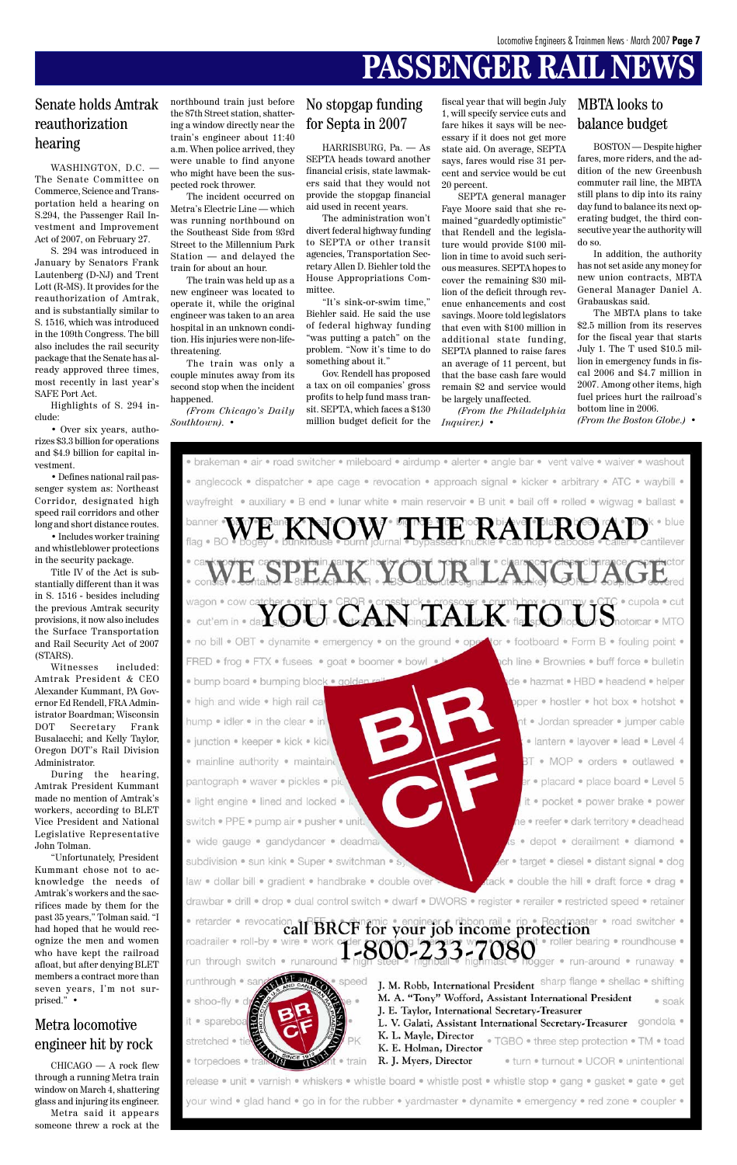## **PASSENGER RAIL NEV**

WASHINGTON, D.C. The Senate Committee on Commerce, Science and Transportation held a hearing on S.294, the Passenger Rail Investment and Improvement Act of 2007, on February 27.

S. 294 was introduced in January by Senators Frank Lautenberg (D-NJ) and Trent Lott (R-MS). It provides for the reauthorization of Amtrak, and is substantially similar to S. 1516, which was introduced in the 109th Congress. The bill also includes the rail security package that the Senate has already approved three times, most recently in last year's SAFE Port Act.

Highlights of S. 294 include:

• Over six years, authorizes \$3.3 billion for operations and \$4.9 billion for capital investment.

• Defines national rail passenger system as: Northeast Corridor, designated high speed rail corridors and other long and short distance routes.

• Includes worker training and whistleblower protections in the security package.

Title IV of the Act is substantially different than it was in S. 1516 - besides including the previous Amtrak security provisions, it now also includes the Surface Transportation and Rail Security Act of 2007 (STARS).

Witnesses included: Amtrak President & CEO Alexander Kummant, PA Governor Ed Rendell, FRA Administrator Boardman; Wisconsin DOT Secretary Frank Busalacchi; and Kelly Taylor, Oregon DOT's Rail Division Administrator.

During the hearing, Amtrak President Kummant made no mention of Amtrak's workers, according to BLET Vice President and National Legislative Representative John Tolman.

"Unfortunately, President Kummant chose not to acknowledge the needs of Amtrak's workers and the sacrifices made by them for the past 35 years," Tolman said. "I had hoped that he would recognize the men and women who have kept the railroad afloat, but after denying BLET members a contract more than seven years, I'm not surprised." •

### Senate holds Amtrak reauthorization hearing

### MBTA looks to balance budget

CHICAGO — A rock flew through a running Metra train window on March 4, shattering glass and injuring its engineer. Metra said it appears someone threw a rock at the

subdivision • sun kink • Super • switchman • s

law . dollar bill . gradient . handbrake . double over

drawbar · drill · drop · dual control switch · dwarf · DWORS · register · rerailer · restricted speed · retainer

• retarder • revocation all BRCF for your job income protection roller bearing . roundhouse . roadrailer · roll-by · wire · wo 1-800-233-7080 run through switch · runaround gger · run-around · runaway ·

**HALL CO.** runthrough . sar · speed · shoo-fly spareboa stretched • ti · torpedoes · train

J. M. Robb, International President sharp flange . shellac . shifting M. A. "Tony" Wofford, Assistant International President · soak J. E. Taylor, International Secretary-Treasurer L. V. Galati, Assistant International Secretary-Treasurer gondola . K. L. Mayle, Director · TGBO · three step protection · TM · toad K. E. Holman, Director R. J. Myers, Director · turn · turnout · UCOR · unintentional

• target • diesel • distant signal • dog

tack . double the hill . draft force . drag .

release . unit . varnish . whiskers . whistle board . whistle post . whistle stop . gang . gasket . gate . get your wind . glad hand . go in for the rubber . yardmaster . dynamite . emergency . red zone . coupler .

### Metra locomotive engineer hit by rock

northbound train just before the 87th Street station, shattering a window directly near the train's engineer about 11:40 a.m. When police arrived, they were unable to find anyone who might have been the suspected rock thrower.

The incident occurred on Metra's Electric Line — which was running northbound on the Southeast Side from 93rd Street to the Millennium Park Station — and delayed the train for about an hour.

The train was held up as a new engineer was located to operate it, while the original engineer was taken to an area hospital in an unknown condition. His injuries were non-lifethreatening.

The train was only a couple minutes away from its second stop when the incident happened.

*(From Chicago's Daily Southtown).* •

### No stopgap funding for Septa in 2007

HARRISBURG, Pa. — As SEPTA heads toward another financial crisis, state lawmakers said that they would not provide the stopgap financial aid used in recent years.

The administration won't divert federal highway funding to SEPTA or other transit agencies, Transportation Secretary Allen D. Biehler told the House Appropriations Committee.

"It's sink-or-swim time," Biehler said. He said the use of federal highway funding "was putting a patch" on the problem. "Now it's time to do something about it."

Gov. Rendell has proposed a tax on oil companies' gross profits to help fund mass transit. SEPTA, which faces a \$130 million budget deficit for the

fiscal year that will begin July 1, will specify service cuts and fare hikes it says will be necessary if it does not get more state aid. On average, SEPTA says, fares would rise 31 percent and service would be cut 20 percent.

SEPTA general manager Faye Moore said that she remained "guardedly optimistic" that Rendell and the legislature would provide \$100 million in time to avoid such serious measures. SEPTA hopes to cover the remaining \$30 million of the deficit through revenue enhancements and cost savings. Moore told legislators that even with \$100 million in additional state funding, SEPTA planned to raise fares an average of 11 percent, but that the base cash fare would remain \$2 and service would be largely unaffected.

*(From the Philadelphia Inquirer.)* •

BOSTON — Despite higher fares, more riders, and the addition of the new Greenbush commuter rail line, the MBTA still plans to dip into its rainy day fund to balance its next operating budget, the third consecutive year the authority will do so.

In addition, the authority has not set aside any money for new union contracts, MBTA General Manager Daniel A. Grabauskas said.

The MBTA plans to take \$2.5 million from its reserves for the fiscal year that starts July 1. The T used \$10.5 million in emergency funds in fiscal 2006 and \$4.7 million in 2007. Among other items, high fuel prices hurt the railroad's bottom line in 2006.

*(From the Boston Globe.)* •